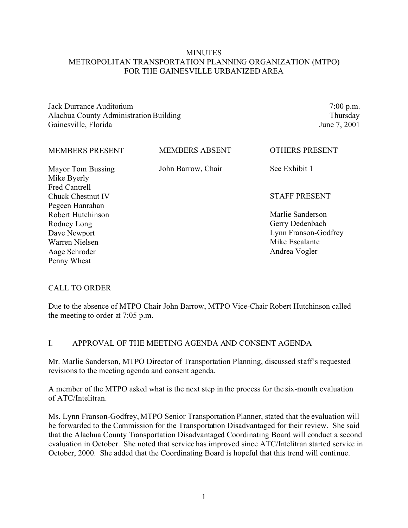### **MINUTES** METROPOLITAN TRANSPORTATION PLANNING ORGANIZATION (MTPO) FOR THE GAINESVILLE URBANIZED AREA

Jack Durrance Auditorium Alachua County Administration Building Gainesville, Florida

7:00 p.m. Thursday June 7, 2001

| <b>MEMBERS PRESENT</b>                                   | <b>MEMBERS ABSENT</b> | <b>OTHERS PRESENT</b>               |
|----------------------------------------------------------|-----------------------|-------------------------------------|
| Mayor Tom Bussing<br>Mike Byerly<br><b>Fred Cantrell</b> | John Barrow, Chair    | See Exhibit 1                       |
| Chuck Chestnut IV<br>Pegeen Hanrahan                     |                       | <b>STAFF PRESENT</b>                |
| Robert Hutchinson                                        |                       | Marlie Sanderson<br>Gerry Dedenbach |
| Rodney Long<br>Dave Newport                              |                       | Lynn Franson-Godfrey                |
| Warren Nielsen<br>Aage Schroder                          |                       | Mike Escalante<br>Andrea Vogler     |
| Penny Wheat                                              |                       |                                     |

#### CALL TO ORDER

Due to the absence of MTPO Chair John Barrow, MTPO Vice-Chair Robert Hutchinson called the meeting to order at 7:05 p.m.

#### I. APPROVAL OF THE MEETING AGENDA AND CONSENT AGENDA

Mr. Marlie Sanderson, MTPO Director of Transportation Planning, discussed staff's requested revisions to the meeting agenda and consent agenda.

A member of the MTPO asked what is the next step in the process for the six-month evaluation of ATC/Intelitran.

Ms. Lynn Franson-Godfrey, MTPO Senior Transportation Planner, stated that the evaluation will be forwarded to the Commission for the Transportation Disadvantaged for their review. She said that the Alachua County Transportation Disadvantaged Coordinating Board will conduct a second evaluation in October. She noted that service has improved since ATC/Intelitran started service in October, 2000. She added that the Coordinating Board is hopeful that this trend will continue.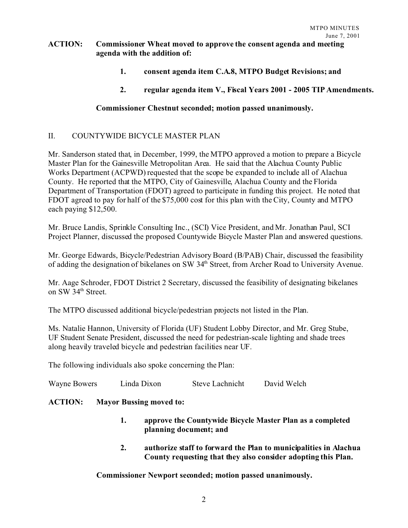### **ACTION: Commissioner Wheat moved to approve the consent agenda and meeting agenda with the addition of:**

- **1. consent agenda item C.A.8, MTPO Budget Revisions; and**
- **2. regular agenda item V., Fiscal Years 2001 2005 TIP Amendments.**

### **Commissioner Chestnut seconded; motion passed unanimously.**

### II. COUNTYWIDE BICYCLE MASTER PLAN

Mr. Sanderson stated that, in December, 1999, the MTPO approved a motion to prepare a Bicycle Master Plan for the Gainesville Metropolitan Area. He said that the Alachua County Public Works Department (ACPWD) requested that the scope be expanded to include all of Alachua County. He reported that the MTPO, City of Gainesville, Alachua County and the Florida Department of Transportation (FDOT) agreed to participate in funding this project. He noted that FDOT agreed to pay for half of the \$75,000 cost for this plan with the City, County and MTPO each paying \$12,500.

Mr. Bruce Landis, Sprinkle Consulting Inc., (SCI) Vice President, and Mr. Jonathan Paul, SCI Project Planner, discussed the proposed Countywide Bicycle Master Plan and answered questions.

Mr. George Edwards, Bicycle/Pedestrian Advisory Board (B/PAB) Chair, discussed the feasibility of adding the designation of bikelanes on SW 34<sup>th</sup> Street, from Archer Road to University Avenue.

Mr. Aage Schroder, FDOT District 2 Secretary, discussed the feasibility of designating bikelanes on SW 34<sup>th</sup> Street.

The MTPO discussed additional bicycle/pedestrian projects not listed in the Plan.

Ms. Natalie Hannon, University of Florida (UF) Student Lobby Director, and Mr. Greg Stube, UF Student Senate President, discussed the need for pedestrian-scale lighting and shade trees along heavily traveled bicycle and pedestrian facilities near UF.

The following individuals also spoke concerning the Plan:

| Wayne Bowers | Linda Dixon | <b>Steve Lachnicht</b> | David Welch |
|--------------|-------------|------------------------|-------------|
|--------------|-------------|------------------------|-------------|

### **ACTION: Mayor Bussing moved to:**

- **1. approve the Countywide Bicycle Master Plan as a completed planning document; and**
- **2. authorize staff to forward the Plan to municipalities in Alachua County requesting that they also consider adopting this Plan.**

**Commissioner Newport seconded; motion passed unanimously.**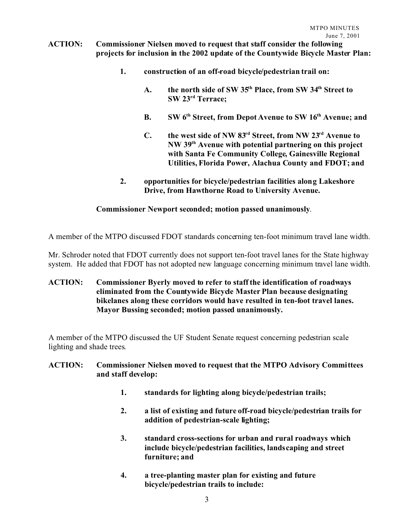### **ACTION: Commissioner Nielsen moved to request that staff consider the following projects for inclusion in the 2002 update of the Countywide Bicycle Master Plan:**

- **1. construction of an off-road bicycle/pedestrian trail on:**
	- **A. the north side of SW 35th Place, from SW 34th Street to SW 23rd Terrace;**
	- **B. SW 6th Street, from Depot Avenue to SW 16th Avenue; and**
	- **C. the west side of NW 83rd Street, from NW 23rd Avenue to NW 39th Avenue with potential partnering on this project with Santa Fe Community College, Gainesville Regional Utilities, Florida Power, Alachua County and FDOT; and**
- **2. opportunities for bicycle/pedestrian facilities along Lakeshore Drive, from Hawthorne Road to University Avenue.**

#### **Commissioner Newport seconded; motion passed unanimously**.

A member of the MTPO discussed FDOT standards concerning ten-foot minimum travel lane width.

Mr. Schroder noted that FDOT currently does not support ten-foot travel lanes for the State highway system. He added that FDOT has not adopted new language concerning minimum travel lane width.

### **ACTION: Commissioner Byerly moved to refer to staff the identification of roadways eliminated from the Countywide Bicycle Master Plan because designating bikelanes along these corridors would have resulted in ten-foot travel lanes. Mayor Bussing seconded; motion passed unanimously.**

A member of the MTPO discussed the UF Student Senate request concerning pedestrian scale lighting and shade trees.

### **ACTION: Commissioner Nielsen moved to request that the MTPO Advisory Committees and staff develop:**

- **1. standards for lighting along bicycle/pedestrian trails;**
- **2. a list of existing and future off-road bicycle/pedestrian trails for addition of pedestrian-scale lighting;**
- **3. standard cross-sections for urban and rural roadways which include bicycle/pedestrian facilities, landscaping and street furniture; and**
- **4. a tree-planting master plan for existing and future bicycle/pedestrian trails to include:**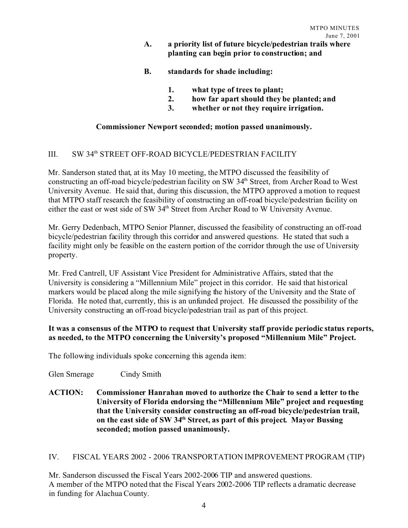- **A. a priority list of future bicycle/pedestrian trails where planting can begin prior to construction; and**
- **B. standards for shade including:**
	- **1. what type of trees to plant;**
	- **2. how far apart should they be planted; and**
	- **3. whether or not they require irrigation.**

### **Commissioner Newport seconded; motion passed unanimously.**

# III. SW 34<sup>th</sup> STREET OFF-ROAD BICYCLE/PEDESTRIAN FACILITY

Mr. Sanderson stated that, at its May 10 meeting, the MTPO discussed the feasibility of constructing an off-road bicycle/pedestrian facility on SW 34<sup>th</sup> Street, from Archer Road to West University Avenue. He said that, during this discussion, the MTPO approved a motion to request that MTPO staff research the feasibility of constructing an off-road bicycle/pedestrian facility on either the east or west side of SW 34<sup>th</sup> Street from Archer Road to W University Avenue.

Mr. Gerry Dedenbach, MTPO Senior Planner, discussed the feasibility of constructing an off-road bicycle/pedestrian facility through this corridor and answered questions. He stated that such a facility might only be feasible on the eastern portion of the corridor through the use of University property.

Mr. Fred Cantrell, UF Assistant Vice President for Administrative Affairs, stated that the University is considering a "Millennium Mile" project in this corridor. He said that historical markers would be placed along the mile signifying the history of the University and the State of Florida. He noted that, currently, this is an unfunded project. He discussed the possibility of the University constructing an off-road bicycle/pedestrian trail as part of this project.

### **It was a consensus of the MTPO to request that University staff provide periodic status reports, as needed, to the MTPO concerning the University's proposed "Millennium Mile" Project.**

The following individuals spoke concerning this agenda item:

- Glen Smerage Cindy Smith
- **ACTION: Commissioner Hanrahan moved to authorize the Chair to send a letter to the University of Florida endorsing the "Millennium Mile" project and requesting that the University consider constructing an off-road bicycle/pedestrian trail, on the east side of SW 34th Street, as part of this project. Mayor Bussing seconded; motion passed unanimously.**

### IV. FISCAL YEARS 2002 - 2006 TRANSPORTATION IMPROVEMENT PROGRAM (TIP)

Mr. Sanderson discussed the Fiscal Years 2002-2006 TIP and answered questions. A member of the MTPO noted that the Fiscal Years 2002-2006 TIP reflects a dramatic decrease in funding for Alachua County.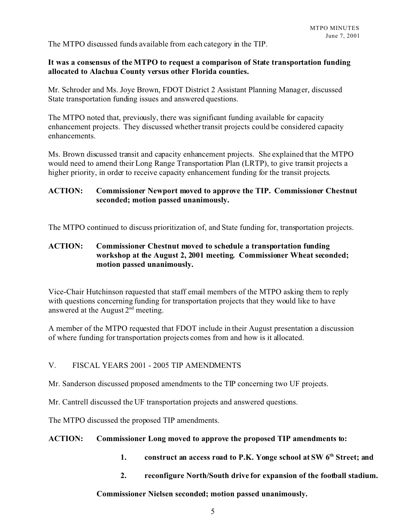The MTPO discussed funds available from each category in the TIP.

### **It was a consensus of the MTPO to request a comparison of State transportation funding allocated to Alachua County versus other Florida counties.**

Mr. Schroder and Ms. Joye Brown, FDOT District 2 Assistant Planning Manager, discussed State transportation funding issues and answered questions.

The MTPO noted that, previously, there was significant funding available for capacity enhancement projects. They discussed whether transit projects could be considered capacity enhancements.

Ms. Brown discussed transit and capacity enhancement projects. She explained that the MTPO would need to amend their Long Range Transportation Plan (LRTP), to give transit projects a higher priority, in order to receive capacity enhancement funding for the transit projects.

### **ACTION: Commissioner Newport moved to approve the TIP. Commissioner Chestnut seconded; motion passed unanimously.**

The MTPO continued to discuss prioritization of, and State funding for, transportation projects.

### **ACTION: Commissioner Chestnut moved to schedule a transportation funding workshop at the August 2, 2001 meeting. Commissioner Wheat seconded; motion passed unanimously.**

Vice-Chair Hutchinson requested that staff email members of the MTPO asking them to reply with questions concerning funding for transportation projects that they would like to have answered at the August  $2<sup>nd</sup>$  meeting.

A member of the MTPO requested that FDOT include in their August presentation a discussion of where funding for transportation projects comes from and how is it allocated.

### V. FISCAL YEARS 2001 - 2005 TIP AMENDMENTS

Mr. Sanderson discussed proposed amendments to the TIP concerning two UF projects.

Mr. Cantrell discussed the UF transportation projects and answered questions.

The MTPO discussed the proposed TIP amendments.

#### **ACTION: Commissioner Long moved to approve the proposed TIP amendments to:**

- **1. construct an access road to P.K. Yonge school at SW 6th Street; and**
- **2. reconfigure North/South drive for expansion of the football stadium.**

#### **Commissioner Nielsen seconded; motion passed unanimously.**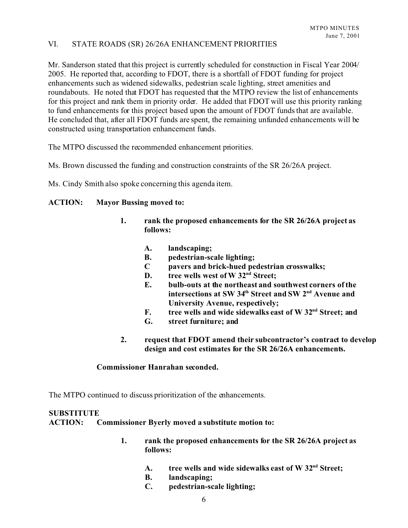### VI. STATE ROADS (SR) 26/26A ENHANCEMENT PRIORITIES

Mr. Sanderson stated that this project is currently scheduled for construction in Fiscal Year 2004/ 2005. He reported that, according to FDOT, there is a shortfall of FDOT funding for project enhancements such as widened sidewalks, pedestrian scale lighting, street amenities and roundabouts. He noted that FDOT has requested that the MTPO review the list of enhancements for this project and rank them in priority order. He added that FDOT will use this priority ranking to fund enhancements for this project based upon the amount of FDOT funds that are available. He concluded that, after all FDOT funds are spent, the remaining unfunded enhancements will be constructed using transportation enhancement funds.

The MTPO discussed the recommended enhancement priorities.

Ms. Brown discussed the funding and construction constraints of the SR 26/26A project.

Ms. Cindy Smith also spoke concerning this agenda item.

#### **ACTION: Mayor Bussing moved to:**

- **1. rank the proposed enhancements for the SR 26/26A project as follows:**
	- **A. landscaping;**
	- **B. pedestrian-scale lighting;**
	- **C pavers and brick-hued pedestrian crosswalks;**
	- **D. tree wells west of W 32nd Street;**
	- **E. bulb-outs at the northeast and southwest corners of the intersections at SW 34th Street and SW 2nd Avenue and University Avenue, respectively;**
	- **F. tree wells and wide sidewalks east of W 32nd Street; and**
	- **G. street furniture; and**
- **2. request that FDOT amend their subcontractor's contract to develop design and cost estimates for the SR 26/26A enhancements.**

#### **Commissioner Hanrahan seconded.**

The MTPO continued to discuss prioritization of the enhancements.

### **SUBSTITUTE**

**ACTION: Commissioner Byerly moved a substitute motion to:**

- **1. rank the proposed enhancements for the SR 26/26A project as follows:**
	- **A. tree wells and wide sidewalks east of W 32nd Street;**
	- **B. landscaping;**
	- **C. pedestrian-scale lighting;**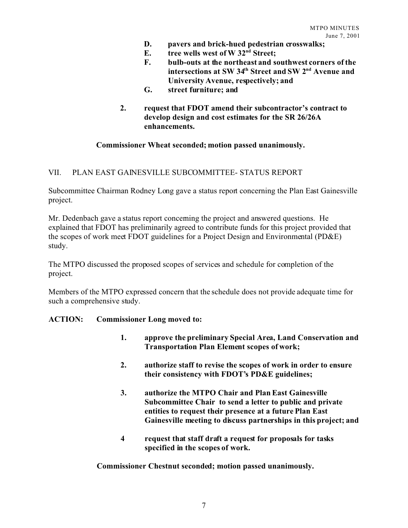- **D. pavers and brick-hued pedestrian crosswalks;**
- **E. tree wells west of W 32nd Street;**
- **F. bulb-outs at the northeast and southwest corners of the intersections at SW 34th Street and SW 2nd Avenue and University Avenue, respectively; and**
- **G. street furniture; and**
- **2. request that FDOT amend their subcontractor's contract to develop design and cost estimates for the SR 26/26A enhancements.**

#### **Commissioner Wheat seconded; motion passed unanimously.**

#### VII. PLAN EAST GAINESVILLE SUBCOMMITTEE- STATUS REPORT

Subcommittee Chairman Rodney Long gave a status report concerning the Plan East Gainesville project.

Mr. Dedenbach gave a status report concerning the project and answered questions. He explained that FDOT has preliminarily agreed to contribute funds for this project provided that the scopes of work meet FDOT guidelines for a Project Design and Environmental (PD&E) study.

The MTPO discussed the proposed scopes of services and schedule for completion of the project.

Members of the MTPO expressed concern that the schedule does not provide adequate time for such a comprehensive study.

#### **ACTION: Commissioner Long moved to:**

- **1. approve the preliminary Special Area, Land Conservation and Transportation Plan Element scopes of work;**
- **2. authorize staff to revise the scopes of work in order to ensure their consistency with FDOT's PD&E guidelines;**
- **3. authorize the MTPO Chair and Plan East Gainesville Subcommittee Chair to send a letter to public and private entities to request their presence at a future Plan East Gainesville meeting to discuss partnerships in this project; and**
- **4 request that staff draft a request for proposals for tasks specified in the scopes of work.**

**Commissioner Chestnut seconded; motion passed unanimously.**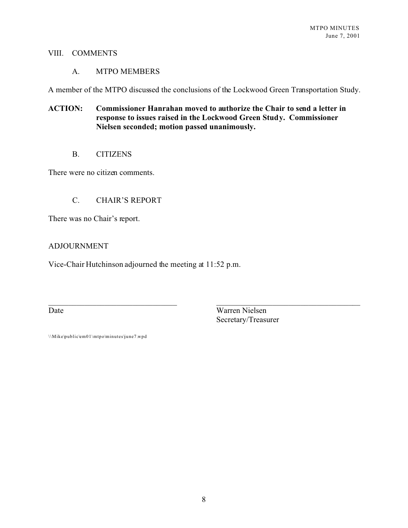#### VIII. COMMENTS

#### A. MTPO MEMBERS

A member of the MTPO discussed the conclusions of the Lockwood Green Transportation Study.

### **ACTION: Commissioner Hanrahan moved to authorize the Chair to send a letter in response to issues raised in the Lockwood Green Study. Commissioner Nielsen seconded; motion passed unanimously.**

B. CITIZENS

There were no citizen comments.

### C. CHAIR'S REPORT

There was no Chair's report.

### ADJOURNMENT

Vice-Chair Hutchinson adjourned the meeting at 11:52 p.m.

Date Warren Nielsen Secretary/Treasurer

\\Mike\public\em01\mtpo\minutes\june7.wpd

 $\_$  , and the contribution of the contribution of  $\_$  . The contribution of the contribution of  $\mathcal{L}_\mathcal{A}$